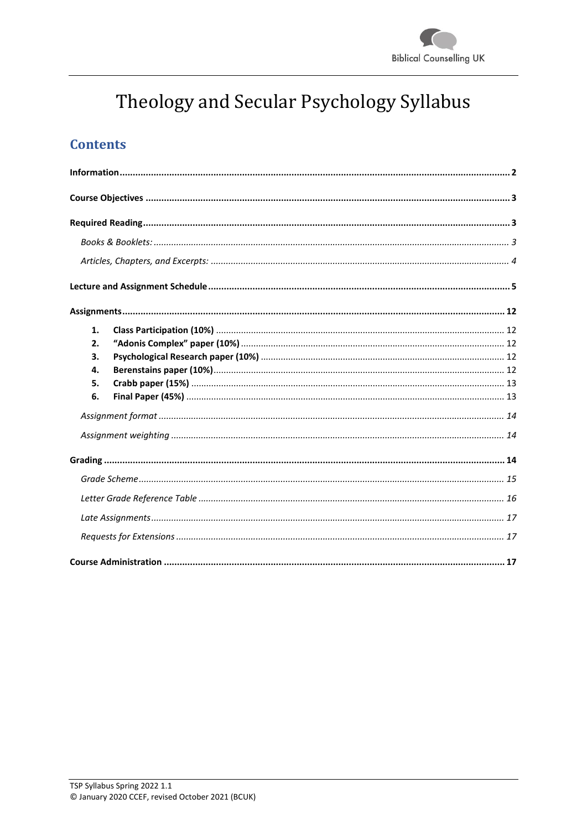

# Theology and Secular Psychology Syllabus

### **Contents**

| 1. |  |
|----|--|
| 2. |  |
| 3. |  |
| 4. |  |
| 5. |  |
| 6. |  |
|    |  |
|    |  |
|    |  |
|    |  |
|    |  |
|    |  |
|    |  |
|    |  |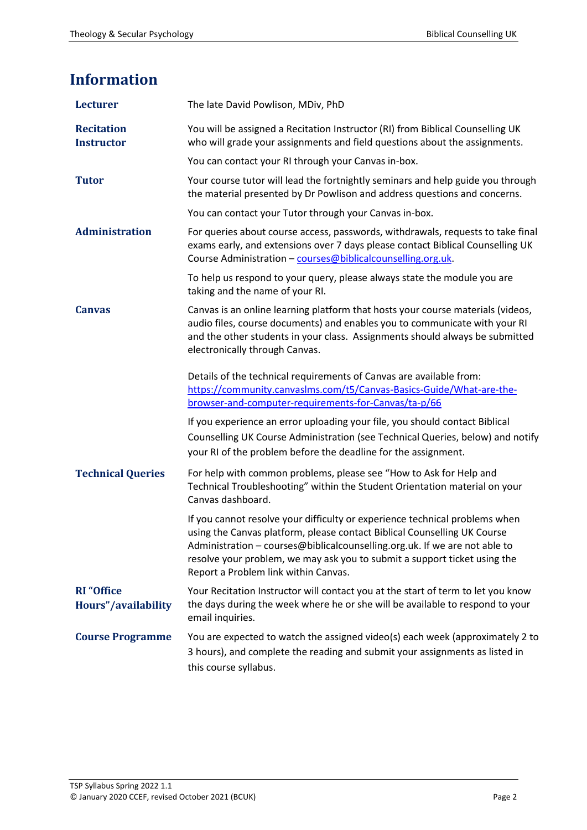# <span id="page-1-0"></span>**Information**

| <b>Lecturer</b>                          | The late David Powlison, MDiv, PhD                                                                                                                                                                                                                                                                                                                         |  |
|------------------------------------------|------------------------------------------------------------------------------------------------------------------------------------------------------------------------------------------------------------------------------------------------------------------------------------------------------------------------------------------------------------|--|
| <b>Recitation</b><br><b>Instructor</b>   | You will be assigned a Recitation Instructor (RI) from Biblical Counselling UK<br>who will grade your assignments and field questions about the assignments.                                                                                                                                                                                               |  |
|                                          | You can contact your RI through your Canvas in-box.                                                                                                                                                                                                                                                                                                        |  |
| <b>Tutor</b>                             | Your course tutor will lead the fortnightly seminars and help guide you through<br>the material presented by Dr Powlison and address questions and concerns.                                                                                                                                                                                               |  |
|                                          | You can contact your Tutor through your Canvas in-box.                                                                                                                                                                                                                                                                                                     |  |
| <b>Administration</b>                    | For queries about course access, passwords, withdrawals, requests to take final<br>exams early, and extensions over 7 days please contact Biblical Counselling UK<br>Course Administration - courses@biblicalcounselling.org.uk.                                                                                                                           |  |
|                                          | To help us respond to your query, please always state the module you are<br>taking and the name of your RI.                                                                                                                                                                                                                                                |  |
| <b>Canvas</b>                            | Canvas is an online learning platform that hosts your course materials (videos,<br>audio files, course documents) and enables you to communicate with your RI<br>and the other students in your class. Assignments should always be submitted<br>electronically through Canvas.                                                                            |  |
|                                          | Details of the technical requirements of Canvas are available from:<br>https://community.canvaslms.com/t5/Canvas-Basics-Guide/What-are-the-<br>browser-and-computer-requirements-for-Canvas/ta-p/66                                                                                                                                                        |  |
|                                          | If you experience an error uploading your file, you should contact Biblical<br>Counselling UK Course Administration (see Technical Queries, below) and notify<br>your RI of the problem before the deadline for the assignment.                                                                                                                            |  |
| <b>Technical Queries</b>                 | For help with common problems, please see "How to Ask for Help and<br>Technical Troubleshooting" within the Student Orientation material on your<br>Canvas dashboard.                                                                                                                                                                                      |  |
|                                          | If you cannot resolve your difficulty or experience technical problems when<br>using the Canvas platform, please contact Biblical Counselling UK Course<br>Administration - courses@biblicalcounselling.org.uk. If we are not able to<br>resolve your problem, we may ask you to submit a support ticket using the<br>Report a Problem link within Canvas. |  |
| <b>RI</b> "Office<br>Hours"/availability | Your Recitation Instructor will contact you at the start of term to let you know<br>the days during the week where he or she will be available to respond to your<br>email inquiries.                                                                                                                                                                      |  |
| <b>Course Programme</b>                  | You are expected to watch the assigned video(s) each week (approximately 2 to<br>3 hours), and complete the reading and submit your assignments as listed in<br>this course syllabus.                                                                                                                                                                      |  |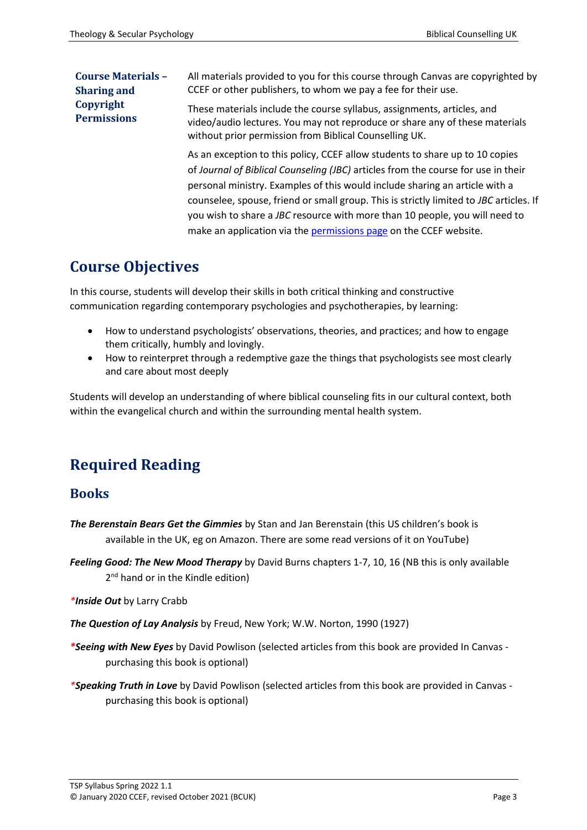| <b>Course Materials -</b><br><b>Sharing and</b> | All materials provided to you for this course through Canvas are copyrighted by<br>CCEF or other publishers, to whom we pay a fee for their use.                                                                                                                                                                                                                                                                                                                                               |  |
|-------------------------------------------------|------------------------------------------------------------------------------------------------------------------------------------------------------------------------------------------------------------------------------------------------------------------------------------------------------------------------------------------------------------------------------------------------------------------------------------------------------------------------------------------------|--|
| Copyright<br><b>Permissions</b>                 | These materials include the course syllabus, assignments, articles, and<br>video/audio lectures. You may not reproduce or share any of these materials<br>without prior permission from Biblical Counselling UK.                                                                                                                                                                                                                                                                               |  |
|                                                 | As an exception to this policy, CCEF allow students to share up to 10 copies<br>of Journal of Biblical Counseling (JBC) articles from the course for use in their<br>personal ministry. Examples of this would include sharing an article with a<br>counselee, spouse, friend or small group. This is strictly limited to JBC articles. If<br>you wish to share a JBC resource with more than 10 people, you will need to<br>make an application via the permissions page on the CCEF website. |  |

### <span id="page-2-0"></span>**Course Objectives**

In this course, students will develop their skills in both critical thinking and constructive communication regarding contemporary psychologies and psychotherapies, by learning:

- How to understand psychologists' observations, theories, and practices; and how to engage them critically, humbly and lovingly.
- How to reinterpret through a redemptive gaze the things that psychologists see most clearly and care about most deeply

Students will develop an understanding of where biblical counseling fits in our cultural context, both within the evangelical church and within the surrounding mental health system.

# <span id="page-2-1"></span>**Required Reading**

### <span id="page-2-2"></span>**Books**

- *The Berenstain Bears Get the Gimmies* by Stan and Jan Berenstain (this US children's book is available in the UK, eg on Amazon. There are some read versions of it on YouTube)
- *Feeling Good: The New Mood Therapy* by David Burns chapters 1-7, 10, 16 (NB this is only available 2<sup>nd</sup> hand or in the Kindle edition)

*\*Inside Out* by Larry Crabb

- *The Question of Lay Analysis* by Freud, New York; W.W. Norton, 1990 (1927)
- *\*Seeing with New Eyes* by David Powlison (selected articles from this book are provided In Canvas purchasing this book is optional)
- *\*Speaking Truth in Love* by David Powlison (selected articles from this book are provided in Canvas purchasing this book is optional)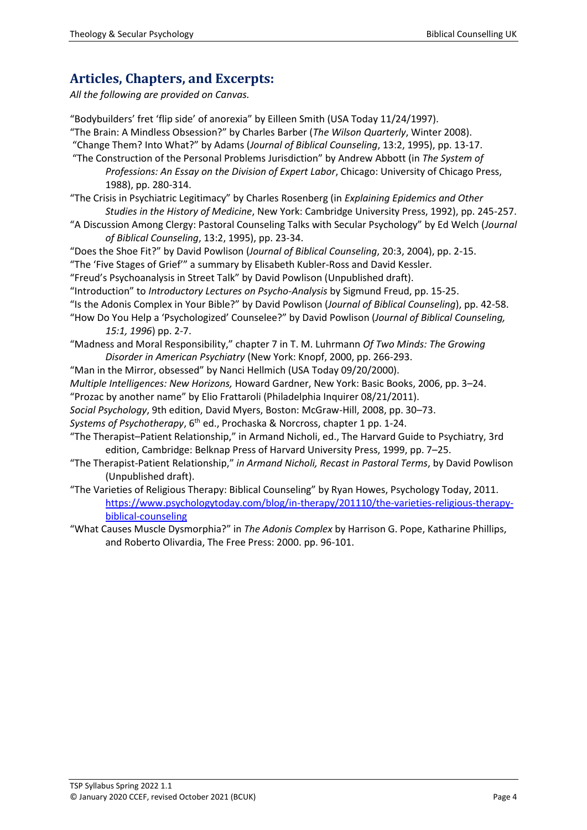### <span id="page-3-0"></span>**Articles, Chapters, and Excerpts:**

*All the following are provided on Canvas.* 

"Bodybuilders' fret 'flip side' of anorexia" by Eilleen Smith (USA Today 11/24/1997). "The Brain: A Mindless Obsession?" by Charles Barber (*The Wilson Quarterly*, Winter 2008). "Change Them? Into What?" by Adams (*Journal of Biblical Counseling*, 13:2, 1995), pp. 13-17. "The Construction of the Personal Problems Jurisdiction" by Andrew Abbott (in *The System of Professions: An Essay on the Division of Expert Labor*, Chicago: University of Chicago Press, 1988), pp. 280-314. "The Crisis in Psychiatric Legitimacy" by Charles Rosenberg (in *Explaining Epidemics and Other Studies in the History of Medicine*, New York: Cambridge University Press, 1992), pp. 245-257. "A Discussion Among Clergy: Pastoral Counseling Talks with Secular Psychology" by Ed Welch (*Journal of Biblical Counseling*, 13:2, 1995), pp. 23-34. "Does the Shoe Fit?" by David Powlison (*Journal of Biblical Counseling*, 20:3, 2004), pp. 2-15. "The 'Five Stages of Grief'" a summary by Elisabeth Kubler-Ross and David Kessler. "Freud's Psychoanalysis in Street Talk" by David Powlison (Unpublished draft). "Introduction" to *Introductory Lectures on Psycho-Analysis* by Sigmund Freud, pp. 15-25. "Is the Adonis Complex in Your Bible?" by David Powlison (*Journal of Biblical Counseling*), pp. 42-58. "How Do You Help a 'Psychologized' Counselee?" by David Powlison (*Journal of Biblical Counseling, 15:1, 1996*) pp. 2-7. "Madness and Moral Responsibility," chapter 7 in T. M. Luhrmann *Of Two Minds: The Growing Disorder in American Psychiatry* (New York: Knopf, 2000, pp. 266-293. "Man in the Mirror, obsessed" by Nanci Hellmich (USA Today 09/20/2000). *Multiple Intelligences: New Horizons,* Howard Gardner, New York: Basic Books, 2006, pp. 3–24. "Prozac by another name" by Elio Frattaroli (Philadelphia Inquirer 08/21/2011). *Social Psychology*, 9th edition, David Myers, Boston: McGraw-Hill, 2008, pp. 30–73. *Systems of Psychotherapy*, 6<sup>th</sup> ed., Prochaska & Norcross, chapter 1 pp. 1-24. "The Therapist–Patient Relationship," in Armand Nicholi, ed., The Harvard Guide to Psychiatry, 3rd edition, Cambridge: Belknap Press of Harvard University Press, 1999, pp. 7–25. "The Therapist-Patient Relationship," *in Armand Nicholi, Recast in Pastoral Terms*, by David Powlison (Unpublished draft). "The Varieties of Religious Therapy: Biblical Counseling" by Ryan Howes, Psychology Today, 2011. [https://www.psychologytoday.com/blog/in-therapy/201110/the-varieties-religious-therapy](https://www.psychologytoday.com/blog/in-therapy/201110/the-varieties-religious-therapy-biblical-counseling)[biblical-counseling](https://www.psychologytoday.com/blog/in-therapy/201110/the-varieties-religious-therapy-biblical-counseling) "What Causes Muscle Dysmorphia?" in *The Adonis Complex* by Harrison G. Pope, Katharine Phillips, and Roberto Olivardia, The Free Press: 2000. pp. 96-101.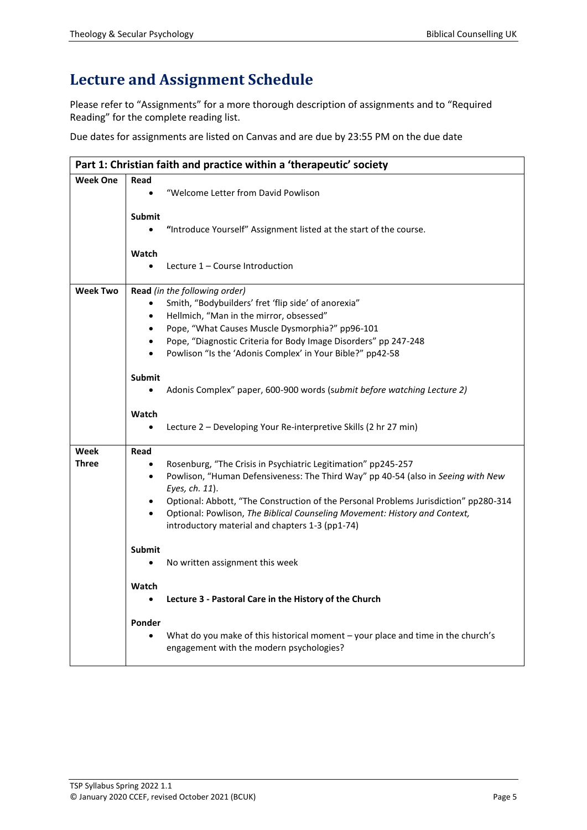# <span id="page-4-0"></span>**Lecture and Assignment Schedule**

Please refer to "Assignments" for a more thorough description of assignments and to "Required Reading" for the complete reading list.

Due dates for assignments are listed on Canvas and are due by 23:55 PM on the due date

| Part 1: Christian faith and practice within a 'therapeutic' society |               |                                                                                                                                                                    |  |  |
|---------------------------------------------------------------------|---------------|--------------------------------------------------------------------------------------------------------------------------------------------------------------------|--|--|
| <b>Week One</b>                                                     | Read          |                                                                                                                                                                    |  |  |
|                                                                     |               | "Welcome Letter from David Powlison                                                                                                                                |  |  |
|                                                                     |               |                                                                                                                                                                    |  |  |
|                                                                     | Submit        | "Introduce Yourself" Assignment listed at the start of the course.                                                                                                 |  |  |
|                                                                     |               |                                                                                                                                                                    |  |  |
|                                                                     | Watch         |                                                                                                                                                                    |  |  |
|                                                                     |               | Lecture 1 – Course Introduction                                                                                                                                    |  |  |
| <b>Week Two</b>                                                     |               |                                                                                                                                                                    |  |  |
|                                                                     | $\bullet$     | Read (in the following order)<br>Smith, "Bodybuilders' fret 'flip side' of anorexia"                                                                               |  |  |
|                                                                     | $\bullet$     | Hellmich, "Man in the mirror, obsessed"                                                                                                                            |  |  |
|                                                                     | $\bullet$     | Pope, "What Causes Muscle Dysmorphia?" pp96-101                                                                                                                    |  |  |
|                                                                     | $\bullet$     | Pope, "Diagnostic Criteria for Body Image Disorders" pp 247-248                                                                                                    |  |  |
|                                                                     |               | Powlison "Is the 'Adonis Complex' in Your Bible?" pp42-58                                                                                                          |  |  |
|                                                                     |               |                                                                                                                                                                    |  |  |
|                                                                     | <b>Submit</b> |                                                                                                                                                                    |  |  |
|                                                                     |               | Adonis Complex" paper, 600-900 words (submit before watching Lecture 2)                                                                                            |  |  |
|                                                                     | Watch         |                                                                                                                                                                    |  |  |
|                                                                     |               | Lecture 2 - Developing Your Re-interpretive Skills (2 hr 27 min)                                                                                                   |  |  |
|                                                                     |               |                                                                                                                                                                    |  |  |
| Week                                                                | Read          |                                                                                                                                                                    |  |  |
| <b>Three</b>                                                        | $\bullet$     | Rosenburg, "The Crisis in Psychiatric Legitimation" pp245-257                                                                                                      |  |  |
|                                                                     | $\bullet$     | Powlison, "Human Defensiveness: The Third Way" pp 40-54 (also in Seeing with New                                                                                   |  |  |
|                                                                     |               | Eyes, ch. 11).                                                                                                                                                     |  |  |
|                                                                     | $\bullet$     | Optional: Abbott, "The Construction of the Personal Problems Jurisdiction" pp280-314<br>Optional: Powlison, The Biblical Counseling Movement: History and Context, |  |  |
|                                                                     |               | introductory material and chapters 1-3 (pp1-74)                                                                                                                    |  |  |
|                                                                     |               |                                                                                                                                                                    |  |  |
|                                                                     | <b>Submit</b> |                                                                                                                                                                    |  |  |
|                                                                     |               | No written assignment this week                                                                                                                                    |  |  |
|                                                                     | Watch         |                                                                                                                                                                    |  |  |
|                                                                     |               | Lecture 3 - Pastoral Care in the History of the Church                                                                                                             |  |  |
|                                                                     |               |                                                                                                                                                                    |  |  |
|                                                                     | Ponder        |                                                                                                                                                                    |  |  |
|                                                                     | $\bullet$     | What do you make of this historical moment - your place and time in the church's                                                                                   |  |  |
|                                                                     |               | engagement with the modern psychologies?                                                                                                                           |  |  |
|                                                                     |               |                                                                                                                                                                    |  |  |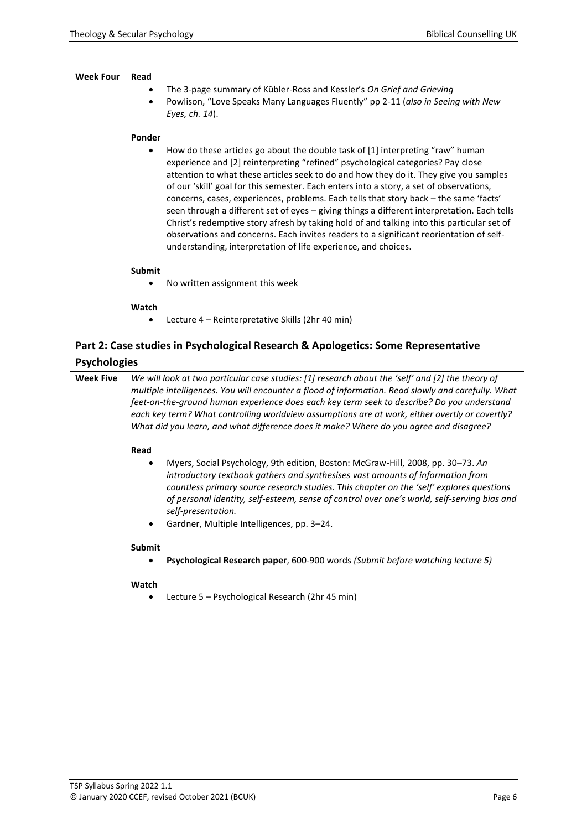| <b>Week Four</b>    | Read               |                                                                                                                                                           |  |  |
|---------------------|--------------------|-----------------------------------------------------------------------------------------------------------------------------------------------------------|--|--|
|                     |                    | The 3-page summary of Kübler-Ross and Kessler's On Grief and Grieving                                                                                     |  |  |
|                     | $\bullet$          | Powlison, "Love Speaks Many Languages Fluently" pp 2-11 (also in Seeing with New                                                                          |  |  |
|                     |                    | Eyes, ch. 14).                                                                                                                                            |  |  |
|                     |                    |                                                                                                                                                           |  |  |
|                     | Ponder             |                                                                                                                                                           |  |  |
|                     |                    | How do these articles go about the double task of [1] interpreting "raw" human                                                                            |  |  |
|                     |                    | experience and [2] reinterpreting "refined" psychological categories? Pay close                                                                           |  |  |
|                     |                    | attention to what these articles seek to do and how they do it. They give you samples                                                                     |  |  |
|                     |                    | of our 'skill' goal for this semester. Each enters into a story, a set of observations,                                                                   |  |  |
|                     |                    | concerns, cases, experiences, problems. Each tells that story back - the same 'facts'                                                                     |  |  |
|                     |                    | seen through a different set of eyes - giving things a different interpretation. Each tells                                                               |  |  |
|                     |                    | Christ's redemptive story afresh by taking hold of and talking into this particular set of                                                                |  |  |
|                     |                    | observations and concerns. Each invites readers to a significant reorientation of self-<br>understanding, interpretation of life experience, and choices. |  |  |
|                     |                    |                                                                                                                                                           |  |  |
|                     | Submit             |                                                                                                                                                           |  |  |
|                     |                    | No written assignment this week                                                                                                                           |  |  |
|                     |                    |                                                                                                                                                           |  |  |
|                     | Watch              |                                                                                                                                                           |  |  |
|                     |                    | Lecture 4 - Reinterpretative Skills (2hr 40 min)                                                                                                          |  |  |
|                     |                    |                                                                                                                                                           |  |  |
|                     |                    |                                                                                                                                                           |  |  |
|                     |                    | Part 2: Case studies in Psychological Research & Apologetics: Some Representative                                                                         |  |  |
| <b>Psychologies</b> |                    |                                                                                                                                                           |  |  |
| <b>Week Five</b>    |                    | We will look at two particular case studies: [1] research about the 'self' and [2] the theory of                                                          |  |  |
|                     |                    | multiple intelligences. You will encounter a flood of information. Read slowly and carefully. What                                                        |  |  |
|                     |                    | feet-on-the-ground human experience does each key term seek to describe? Do you understand                                                                |  |  |
|                     |                    | each key term? What controlling worldview assumptions are at work, either overtly or covertly?                                                            |  |  |
|                     |                    | What did you learn, and what difference does it make? Where do you agree and disagree?                                                                    |  |  |
|                     |                    |                                                                                                                                                           |  |  |
|                     | Read               |                                                                                                                                                           |  |  |
|                     |                    | Myers, Social Psychology, 9th edition, Boston: McGraw-Hill, 2008, pp. 30-73. An                                                                           |  |  |
|                     |                    | introductory textbook gathers and synthesises vast amounts of information from                                                                            |  |  |
|                     |                    | countless primary source research studies. This chapter on the 'self' explores questions                                                                  |  |  |
|                     |                    | of personal identity, self-esteem, sense of control over one's world, self-serving bias and<br>self-presentation.                                         |  |  |
|                     |                    | Gardner, Multiple Intelligences, pp. 3-24.                                                                                                                |  |  |
|                     |                    |                                                                                                                                                           |  |  |
|                     | <b>Submit</b>      |                                                                                                                                                           |  |  |
|                     |                    | Psychological Research paper, 600-900 words (Submit before watching lecture 5)                                                                            |  |  |
|                     |                    |                                                                                                                                                           |  |  |
|                     | Watch<br>$\bullet$ | Lecture 5 - Psychological Research (2hr 45 min)                                                                                                           |  |  |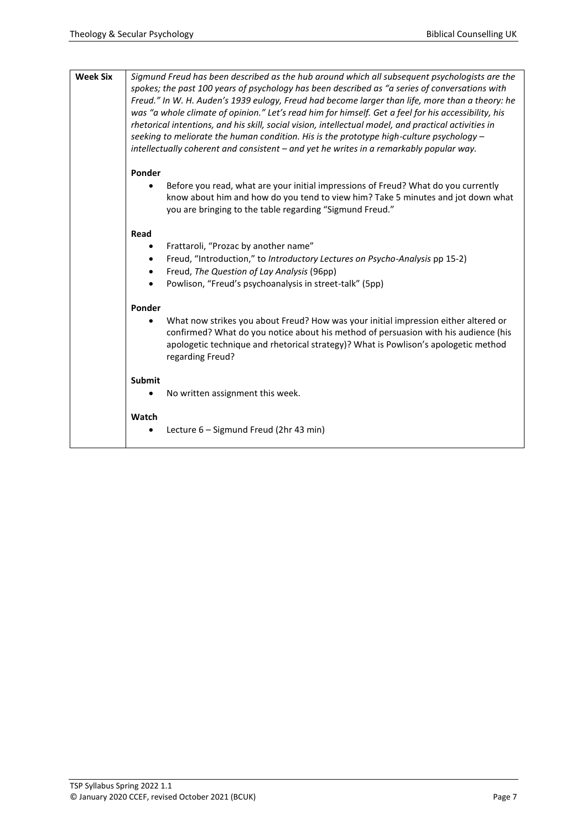| <b>Week Six</b> | Sigmund Freud has been described as the hub around which all subsequent psychologists are the<br>spokes; the past 100 years of psychology has been described as "a series of conversations with<br>Freud." In W. H. Auden's 1939 eulogy, Freud had become larger than life, more than a theory: he<br>was "a whole climate of opinion." Let's read him for himself. Get a feel for his accessibility, his<br>rhetorical intentions, and his skill, social vision, intellectual model, and practical activities in<br>seeking to meliorate the human condition. His is the prototype high-culture psychology $-$<br>intellectually coherent and consistent – and yet he writes in a remarkably popular way. |                                                                                                                                                                                                                                                                                       |  |  |
|-----------------|------------------------------------------------------------------------------------------------------------------------------------------------------------------------------------------------------------------------------------------------------------------------------------------------------------------------------------------------------------------------------------------------------------------------------------------------------------------------------------------------------------------------------------------------------------------------------------------------------------------------------------------------------------------------------------------------------------|---------------------------------------------------------------------------------------------------------------------------------------------------------------------------------------------------------------------------------------------------------------------------------------|--|--|
|                 | Ponder                                                                                                                                                                                                                                                                                                                                                                                                                                                                                                                                                                                                                                                                                                     |                                                                                                                                                                                                                                                                                       |  |  |
|                 |                                                                                                                                                                                                                                                                                                                                                                                                                                                                                                                                                                                                                                                                                                            | Before you read, what are your initial impressions of Freud? What do you currently<br>know about him and how do you tend to view him? Take 5 minutes and jot down what<br>you are bringing to the table regarding "Sigmund Freud."                                                    |  |  |
|                 | Read                                                                                                                                                                                                                                                                                                                                                                                                                                                                                                                                                                                                                                                                                                       |                                                                                                                                                                                                                                                                                       |  |  |
|                 | ٠                                                                                                                                                                                                                                                                                                                                                                                                                                                                                                                                                                                                                                                                                                          | Frattaroli, "Prozac by another name"                                                                                                                                                                                                                                                  |  |  |
|                 | $\bullet$                                                                                                                                                                                                                                                                                                                                                                                                                                                                                                                                                                                                                                                                                                  | Freud, "Introduction," to Introductory Lectures on Psycho-Analysis pp 15-2)                                                                                                                                                                                                           |  |  |
|                 |                                                                                                                                                                                                                                                                                                                                                                                                                                                                                                                                                                                                                                                                                                            | Freud, The Question of Lay Analysis (96pp)                                                                                                                                                                                                                                            |  |  |
|                 |                                                                                                                                                                                                                                                                                                                                                                                                                                                                                                                                                                                                                                                                                                            | Powlison, "Freud's psychoanalysis in street-talk" (5pp)                                                                                                                                                                                                                               |  |  |
|                 | Ponder                                                                                                                                                                                                                                                                                                                                                                                                                                                                                                                                                                                                                                                                                                     |                                                                                                                                                                                                                                                                                       |  |  |
|                 |                                                                                                                                                                                                                                                                                                                                                                                                                                                                                                                                                                                                                                                                                                            | What now strikes you about Freud? How was your initial impression either altered or<br>confirmed? What do you notice about his method of persuasion with his audience (his<br>apologetic technique and rhetorical strategy)? What is Powlison's apologetic method<br>regarding Freud? |  |  |
|                 | <b>Submit</b>                                                                                                                                                                                                                                                                                                                                                                                                                                                                                                                                                                                                                                                                                              |                                                                                                                                                                                                                                                                                       |  |  |
|                 |                                                                                                                                                                                                                                                                                                                                                                                                                                                                                                                                                                                                                                                                                                            | No written assignment this week.                                                                                                                                                                                                                                                      |  |  |
|                 | Watch                                                                                                                                                                                                                                                                                                                                                                                                                                                                                                                                                                                                                                                                                                      |                                                                                                                                                                                                                                                                                       |  |  |
|                 |                                                                                                                                                                                                                                                                                                                                                                                                                                                                                                                                                                                                                                                                                                            | Lecture 6 - Sigmund Freud (2hr 43 min)                                                                                                                                                                                                                                                |  |  |
|                 |                                                                                                                                                                                                                                                                                                                                                                                                                                                                                                                                                                                                                                                                                                            |                                                                                                                                                                                                                                                                                       |  |  |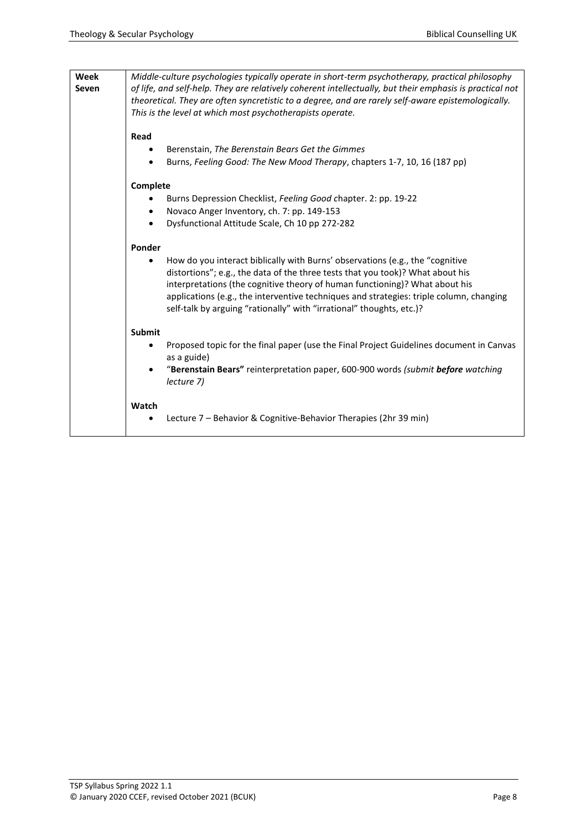| Week<br>Seven | Middle-culture psychologies typically operate in short-term psychotherapy, practical philosophy<br>of life, and self-help. They are relatively coherent intellectually, but their emphasis is practical not<br>theoretical. They are often syncretistic to a degree, and are rarely self-aware epistemologically.<br>This is the level at which most psychotherapists operate.<br>Read<br>Berenstain, The Berenstain Bears Get the Gimmes<br>Burns, Feeling Good: The New Mood Therapy, chapters 1-7, 10, 16 (187 pp) |
|---------------|-----------------------------------------------------------------------------------------------------------------------------------------------------------------------------------------------------------------------------------------------------------------------------------------------------------------------------------------------------------------------------------------------------------------------------------------------------------------------------------------------------------------------|
|               | Complete<br>Burns Depression Checklist, Feeling Good chapter. 2: pp. 19-22<br>Novaco Anger Inventory, ch. 7: pp. 149-153<br>٠<br>Dysfunctional Attitude Scale, Ch 10 pp 272-282                                                                                                                                                                                                                                                                                                                                       |
|               | Ponder<br>How do you interact biblically with Burns' observations (e.g., the "cognitive<br>distortions"; e.g., the data of the three tests that you took)? What about his<br>interpretations (the cognitive theory of human functioning)? What about his<br>applications (e.g., the interventive techniques and strategies: triple column, changing<br>self-talk by arguing "rationally" with "irrational" thoughts, etc.)?                                                                                           |
|               | Submit<br>Proposed topic for the final paper (use the Final Project Guidelines document in Canvas<br>as a guide)<br>"Berenstain Bears" reinterpretation paper, 600-900 words (submit before watching<br>lecture 7)                                                                                                                                                                                                                                                                                                    |
|               | Watch<br>Lecture 7 - Behavior & Cognitive-Behavior Therapies (2hr 39 min)                                                                                                                                                                                                                                                                                                                                                                                                                                             |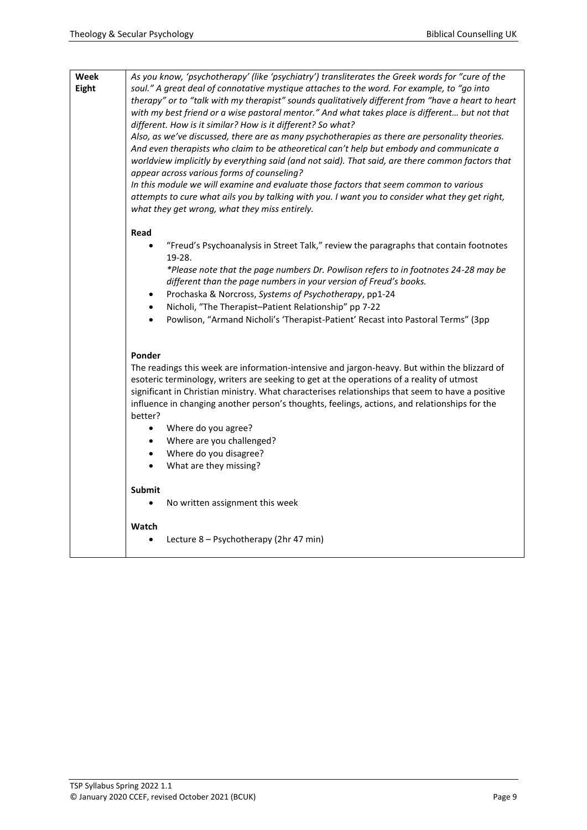| Week<br>Eight | As you know, 'psychotherapy' (like 'psychiatry') transliterates the Greek words for "cure of the<br>soul." A great deal of connotative mystique attaches to the word. For example, to "go into<br>therapy" or to "talk with my therapist" sounds qualitatively different from "have a heart to heart<br>with my best friend or a wise pastoral mentor." And what takes place is different but not that<br>different. How is it similar? How is it different? So what?<br>Also, as we've discussed, there are as many psychotherapies as there are personality theories.<br>And even therapists who claim to be atheoretical can't help but embody and communicate a<br>worldview implicitly by everything said (and not said). That said, are there common factors that<br>appear across various forms of counseling? |  |  |  |
|---------------|-----------------------------------------------------------------------------------------------------------------------------------------------------------------------------------------------------------------------------------------------------------------------------------------------------------------------------------------------------------------------------------------------------------------------------------------------------------------------------------------------------------------------------------------------------------------------------------------------------------------------------------------------------------------------------------------------------------------------------------------------------------------------------------------------------------------------|--|--|--|
|               | In this module we will examine and evaluate those factors that seem common to various<br>attempts to cure what ails you by talking with you. I want you to consider what they get right,<br>what they get wrong, what they miss entirely.                                                                                                                                                                                                                                                                                                                                                                                                                                                                                                                                                                             |  |  |  |
|               | Read<br>"Freud's Psychoanalysis in Street Talk," review the paragraphs that contain footnotes<br>$19-28.$<br>*Please note that the page numbers Dr. Powlison refers to in footnotes 24-28 may be<br>different than the page numbers in your version of Freud's books.<br>Prochaska & Norcross, Systems of Psychotherapy, pp1-24<br>$\bullet$<br>Nicholi, "The Therapist-Patient Relationship" pp 7-22<br>$\bullet$<br>Powlison, "Armand Nicholi's 'Therapist-Patient' Recast into Pastoral Terms" (3pp<br>$\bullet$                                                                                                                                                                                                                                                                                                   |  |  |  |
|               | Ponder<br>The readings this week are information-intensive and jargon-heavy. But within the blizzard of<br>esoteric terminology, writers are seeking to get at the operations of a reality of utmost<br>significant in Christian ministry. What characterises relationships that seem to have a positive<br>influence in changing another person's thoughts, feelings, actions, and relationships for the<br>better?<br>Where do you agree?<br>$\bullet$<br>Where are you challenged?<br>$\bullet$<br>Where do you disagree?<br>$\bullet$<br>What are they missing?                                                                                                                                                                                                                                                   |  |  |  |
|               | Submit<br>No written assignment this week                                                                                                                                                                                                                                                                                                                                                                                                                                                                                                                                                                                                                                                                                                                                                                             |  |  |  |
|               | Watch<br>Lecture 8 - Psychotherapy (2hr 47 min)<br>$\bullet$                                                                                                                                                                                                                                                                                                                                                                                                                                                                                                                                                                                                                                                                                                                                                          |  |  |  |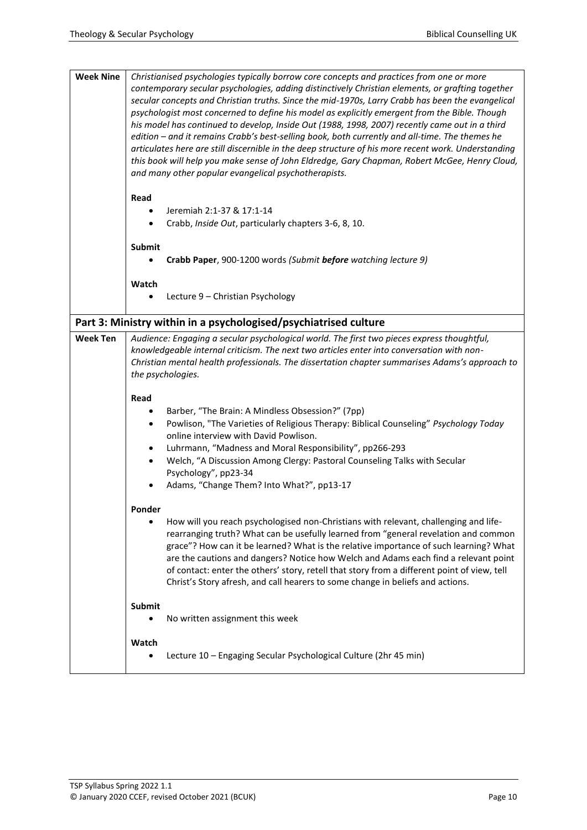| <b>Week Nine</b> |                                                                                                                                                       | Christianised psychologies typically borrow core concepts and practices from one or more         |  |
|------------------|-------------------------------------------------------------------------------------------------------------------------------------------------------|--------------------------------------------------------------------------------------------------|--|
|                  |                                                                                                                                                       | contemporary secular psychologies, adding distinctively Christian elements, or grafting together |  |
|                  | secular concepts and Christian truths. Since the mid-1970s, Larry Crabb has been the evangelical                                                      |                                                                                                  |  |
|                  | psychologist most concerned to define his model as explicitly emergent from the Bible. Though                                                         |                                                                                                  |  |
|                  | his model has continued to develop, Inside Out (1988, 1998, 2007) recently came out in a third                                                        |                                                                                                  |  |
|                  | edition - and it remains Crabb's best-selling book, both currently and all-time. The themes he                                                        |                                                                                                  |  |
|                  | articulates here are still discernible in the deep structure of his more recent work. Understanding                                                   |                                                                                                  |  |
|                  | this book will help you make sense of John Eldredge, Gary Chapman, Robert McGee, Henry Cloud,<br>and many other popular evangelical psychotherapists. |                                                                                                  |  |
|                  |                                                                                                                                                       |                                                                                                  |  |
|                  |                                                                                                                                                       |                                                                                                  |  |
|                  | Read                                                                                                                                                  |                                                                                                  |  |
|                  | ٠                                                                                                                                                     | Jeremiah 2:1-37 & 17:1-14                                                                        |  |
|                  | ٠                                                                                                                                                     | Crabb, Inside Out, particularly chapters 3-6, 8, 10.                                             |  |
|                  |                                                                                                                                                       |                                                                                                  |  |
|                  | Submit                                                                                                                                                |                                                                                                  |  |
|                  |                                                                                                                                                       | Crabb Paper, 900-1200 words (Submit before watching lecture 9)                                   |  |
|                  | Watch                                                                                                                                                 |                                                                                                  |  |
|                  | $\bullet$                                                                                                                                             | Lecture 9 - Christian Psychology                                                                 |  |
|                  |                                                                                                                                                       |                                                                                                  |  |
|                  |                                                                                                                                                       | Part 3: Ministry within in a psychologised/psychiatrised culture                                 |  |
| <b>Week Ten</b>  |                                                                                                                                                       | Audience: Engaging a secular psychological world. The first two pieces express thoughtful,       |  |
|                  |                                                                                                                                                       | knowledgeable internal criticism. The next two articles enter into conversation with non-        |  |
|                  |                                                                                                                                                       | Christian mental health professionals. The dissertation chapter summarises Adams's approach to   |  |
|                  |                                                                                                                                                       | the psychologies.                                                                                |  |
|                  |                                                                                                                                                       |                                                                                                  |  |
|                  | Read                                                                                                                                                  |                                                                                                  |  |
|                  |                                                                                                                                                       | Barber, "The Brain: A Mindless Obsession?" (7pp)                                                 |  |
|                  | ٠                                                                                                                                                     | Powlison, "The Varieties of Religious Therapy: Biblical Counseling" Psychology Today             |  |
|                  |                                                                                                                                                       | online interview with David Powlison.                                                            |  |
|                  | ٠                                                                                                                                                     | Luhrmann, "Madness and Moral Responsibility", pp266-293                                          |  |
|                  | $\bullet$                                                                                                                                             | Welch, "A Discussion Among Clergy: Pastoral Counseling Talks with Secular                        |  |
|                  |                                                                                                                                                       | Psychology", pp23-34                                                                             |  |
|                  |                                                                                                                                                       | Adams, "Change Them? Into What?", pp13-17                                                        |  |
|                  | Ponder                                                                                                                                                |                                                                                                  |  |
|                  | $\bullet$                                                                                                                                             | How will you reach psychologised non-Christians with relevant, challenging and life-             |  |
|                  |                                                                                                                                                       | rearranging truth? What can be usefully learned from "general revelation and common              |  |
|                  |                                                                                                                                                       | grace"? How can it be learned? What is the relative importance of such learning? What            |  |
|                  |                                                                                                                                                       | are the cautions and dangers? Notice how Welch and Adams each find a relevant point              |  |
|                  |                                                                                                                                                       | of contact: enter the others' story, retell that story from a different point of view, tell      |  |
|                  | Christ's Story afresh, and call hearers to some change in beliefs and actions.                                                                        |                                                                                                  |  |
|                  |                                                                                                                                                       |                                                                                                  |  |
|                  | Submit                                                                                                                                                |                                                                                                  |  |
|                  |                                                                                                                                                       | No written assignment this week                                                                  |  |
|                  |                                                                                                                                                       |                                                                                                  |  |
|                  |                                                                                                                                                       |                                                                                                  |  |
|                  |                                                                                                                                                       |                                                                                                  |  |
|                  | Watch                                                                                                                                                 | Lecture 10 - Engaging Secular Psychological Culture (2hr 45 min)                                 |  |
|                  |                                                                                                                                                       |                                                                                                  |  |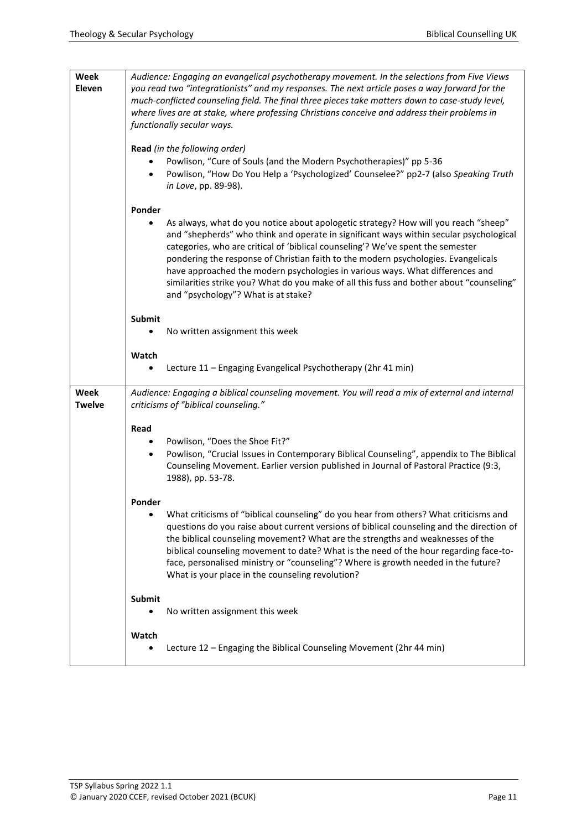| Week<br>Eleven        | Audience: Engaging an evangelical psychotherapy movement. In the selections from Five Views<br>you read two "integrationists" and my responses. The next article poses a way forward for the<br>much-conflicted counseling field. The final three pieces take matters down to case-study level,<br>where lives are at stake, where professing Christians conceive and address their problems in<br>functionally secular ways.<br>Read (in the following order)<br>Powlison, "Cure of Souls (and the Modern Psychotherapies)" pp 5-36<br>Powlison, "How Do You Help a 'Psychologized' Counselee?" pp2-7 (also Speaking Truth<br>in Love, pp. 89-98). |  |  |
|-----------------------|-----------------------------------------------------------------------------------------------------------------------------------------------------------------------------------------------------------------------------------------------------------------------------------------------------------------------------------------------------------------------------------------------------------------------------------------------------------------------------------------------------------------------------------------------------------------------------------------------------------------------------------------------------|--|--|
|                       | Ponder<br>As always, what do you notice about apologetic strategy? How will you reach "sheep"<br>and "shepherds" who think and operate in significant ways within secular psychological<br>categories, who are critical of 'biblical counseling'? We've spent the semester<br>pondering the response of Christian faith to the modern psychologies. Evangelicals<br>have approached the modern psychologies in various ways. What differences and<br>similarities strike you? What do you make of all this fuss and bother about "counseling"<br>and "psychology"? What is at stake?                                                                |  |  |
|                       | Submit<br>No written assignment this week                                                                                                                                                                                                                                                                                                                                                                                                                                                                                                                                                                                                           |  |  |
|                       | Watch<br>Lecture 11 - Engaging Evangelical Psychotherapy (2hr 41 min)                                                                                                                                                                                                                                                                                                                                                                                                                                                                                                                                                                               |  |  |
| Week<br><b>Twelve</b> | Audience: Engaging a biblical counseling movement. You will read a mix of external and internal<br>criticisms of "biblical counseling."                                                                                                                                                                                                                                                                                                                                                                                                                                                                                                             |  |  |
|                       | Read<br>Powlison, "Does the Shoe Fit?"<br>Powlison, "Crucial Issues in Contemporary Biblical Counseling", appendix to The Biblical<br>٠<br>Counseling Movement. Earlier version published in Journal of Pastoral Practice (9:3,<br>1988), pp. 53-78.                                                                                                                                                                                                                                                                                                                                                                                                |  |  |
|                       | Ponder<br>What criticisms of "biblical counseling" do you hear from others? What criticisms and<br>٠<br>questions do you raise about current versions of biblical counseling and the direction of<br>the biblical counseling movement? What are the strengths and weaknesses of the<br>biblical counseling movement to date? What is the need of the hour regarding face-to-<br>face, personalised ministry or "counseling"? Where is growth needed in the future?<br>What is your place in the counseling revolution?                                                                                                                              |  |  |
|                       | <b>Submit</b><br>No written assignment this week                                                                                                                                                                                                                                                                                                                                                                                                                                                                                                                                                                                                    |  |  |
|                       | Watch<br>Lecture 12 - Engaging the Biblical Counseling Movement (2hr 44 min)                                                                                                                                                                                                                                                                                                                                                                                                                                                                                                                                                                        |  |  |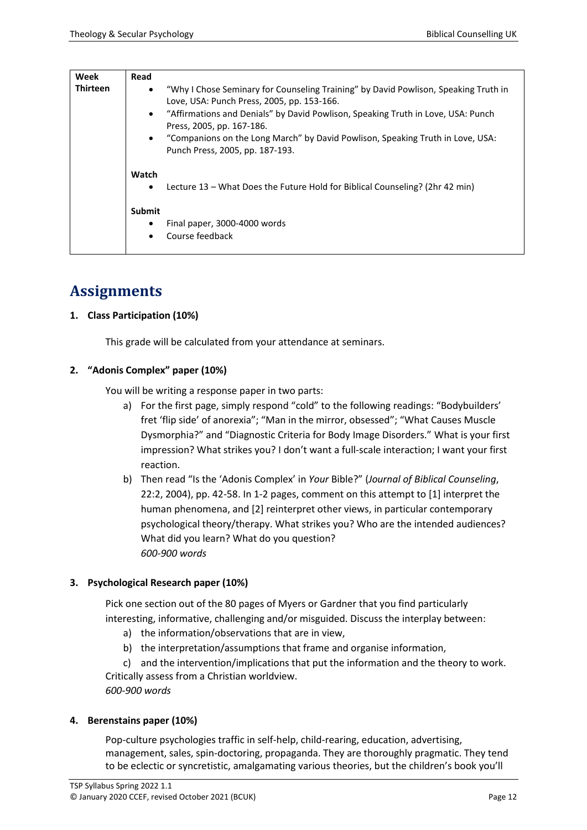| Week            | Read                      |                                                                                                                                                                                                                                                                                                                                                                             |
|-----------------|---------------------------|-----------------------------------------------------------------------------------------------------------------------------------------------------------------------------------------------------------------------------------------------------------------------------------------------------------------------------------------------------------------------------|
| <b>Thirteen</b> | $\bullet$                 | "Why I Chose Seminary for Counseling Training" by David Powlison, Speaking Truth in<br>Love, USA: Punch Press, 2005, pp. 153-166.<br>• "Affirmations and Denials" by David Powlison, Speaking Truth in Love, USA: Punch<br>Press, 2005, pp. 167-186.<br>• "Companions on the Long March" by David Powlison, Speaking Truth in Love, USA:<br>Punch Press, 2005, pp. 187-193. |
|                 | Watch<br>٠<br>Submit<br>٠ | Lecture 13 – What Does the Future Hold for Biblical Counseling? (2hr 42 min)<br>Final paper, 3000-4000 words<br>Course feedback                                                                                                                                                                                                                                             |

## <span id="page-11-0"></span>**Assignments**

#### <span id="page-11-1"></span>**1. Class Participation (10%)**

This grade will be calculated from your attendance at seminars.

#### <span id="page-11-2"></span>**2. "Adonis Complex" paper (10%)**

You will be writing a response paper in two parts:

- a) For the first page, simply respond "cold" to the following readings: "Bodybuilders' fret 'flip side' of anorexia"; "Man in the mirror, obsessed"; "What Causes Muscle Dysmorphia?" and "Diagnostic Criteria for Body Image Disorders." What is your first impression? What strikes you? I don't want a full-scale interaction; I want your first reaction.
- b) Then read "Is the 'Adonis Complex' in *Your* Bible?" (*Journal of Biblical Counseling*, 22:2, 2004), pp. 42-58. In 1-2 pages, comment on this attempt to [1] interpret the human phenomena, and [2] reinterpret other views, in particular contemporary psychological theory/therapy. What strikes you? Who are the intended audiences? What did you learn? What do you question? *600-900 words*

#### <span id="page-11-3"></span>**3. Psychological Research paper (10%)**

Pick one section out of the 80 pages of Myers or Gardner that you find particularly interesting, informative, challenging and/or misguided. Discuss the interplay between:

- a) the information/observations that are in view,
- b) the interpretation/assumptions that frame and organise information,

c) and the intervention/implications that put the information and the theory to work. Critically assess from a Christian worldview. *600-900 words*

#### <span id="page-11-4"></span>**4. Berenstains paper (10%)**

Pop-culture psychologies traffic in self-help, child-rearing, education, advertising, management, sales, spin-doctoring, propaganda. They are thoroughly pragmatic. They tend to be eclectic or syncretistic, amalgamating various theories, but the children's book you'll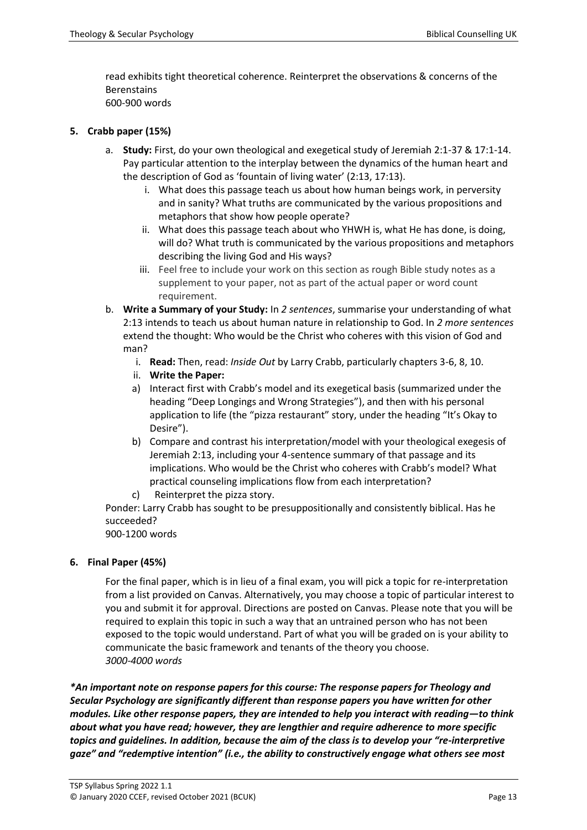read exhibits tight theoretical coherence. Reinterpret the observations & concerns of the Berenstains 600-900 words

#### <span id="page-12-0"></span>**5. Crabb paper (15%)**

- a. **Study:** First, do your own theological and exegetical study of Jeremiah 2:1-37 & 17:1-14. Pay particular attention to the interplay between the dynamics of the human heart and the description of God as 'fountain of living water' (2:13, 17:13).
	- i. What does this passage teach us about how human beings work, in perversity and in sanity? What truths are communicated by the various propositions and metaphors that show how people operate?
	- ii. What does this passage teach about who YHWH is, what He has done, is doing, will do? What truth is communicated by the various propositions and metaphors describing the living God and His ways?
	- iii. Feel free to include your work on this section as rough Bible study notes as a supplement to your paper, not as part of the actual paper or word count requirement.
- b. **Write a Summary of your Study:** In *2 sentences*, summarise your understanding of what 2:13 intends to teach us about human nature in relationship to God. In *2 more sentences* extend the thought: Who would be the Christ who coheres with this vision of God and man?
	- i. **Read:** Then, read: *Inside Out* by Larry Crabb, particularly chapters 3-6, 8, 10.
	- ii. **Write the Paper:**
	- a) Interact first with Crabb's model and its exegetical basis (summarized under the heading "Deep Longings and Wrong Strategies"), and then with his personal application to life (the "pizza restaurant" story, under the heading "It's Okay to Desire").
	- b) Compare and contrast his interpretation/model with your theological exegesis of Jeremiah 2:13, including your 4-sentence summary of that passage and its implications. Who would be the Christ who coheres with Crabb's model? What practical counseling implications flow from each interpretation?
	- c) Reinterpret the pizza story.

Ponder: Larry Crabb has sought to be presuppositionally and consistently biblical. Has he succeeded?

900-1200 words

#### <span id="page-12-1"></span>**6. Final Paper (45%)**

For the final paper, which is in lieu of a final exam, you will pick a topic for re-interpretation from a list provided on Canvas. Alternatively, you may choose a topic of particular interest to you and submit it for approval. Directions are posted on Canvas. Please note that you will be required to explain this topic in such a way that an untrained person who has not been exposed to the topic would understand. Part of what you will be graded on is your ability to communicate the basic framework and tenants of the theory you choose. *3000-4000 words*

*\*An important note on response papers for this course: The response papers for Theology and Secular Psychology are significantly different than response papers you have written for other modules. Like other response papers, they are intended to help you interact with reading—to think about what you have read; however, they are lengthier and require adherence to more specific topics and guidelines. In addition, because the aim of the class is to develop your "re-interpretive gaze" and "redemptive intention" (i.e., the ability to constructively engage what others see most*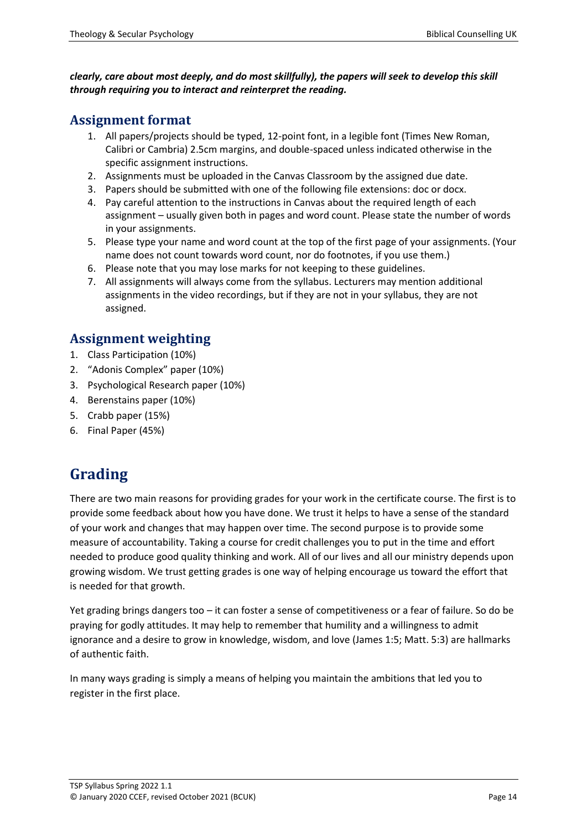*clearly, care about most deeply, and do most skillfully), the papers will seek to develop this skill through requiring you to interact and reinterpret the reading.* 

### <span id="page-13-0"></span>**Assignment format**

- 1. All papers/projects should be typed, 12-point font, in a legible font (Times New Roman, Calibri or Cambria) 2.5cm margins, and double-spaced unless indicated otherwise in the specific assignment instructions.
- 2. Assignments must be uploaded in the Canvas Classroom by the assigned due date.
- 3. Papers should be submitted with one of the following file extensions: doc or docx.
- 4. Pay careful attention to the instructions in Canvas about the required length of each assignment – usually given both in pages and word count. Please state the number of words in your assignments.
- 5. Please type your name and word count at the top of the first page of your assignments. (Your name does not count towards word count, nor do footnotes, if you use them.)
- 6. Please note that you may lose marks for not keeping to these guidelines.
- 7. All assignments will always come from the syllabus. Lecturers may mention additional assignments in the video recordings, but if they are not in your syllabus, they are not assigned.

### <span id="page-13-1"></span>**Assignment weighting**

- 1. Class Participation (10%)
- 2. "Adonis Complex" paper (10%)
- 3. Psychological Research paper (10%)
- 4. Berenstains paper (10%)
- 5. Crabb paper (15%)
- 6. Final Paper (45%)

# <span id="page-13-2"></span>**Grading**

There are two main reasons for providing grades for your work in the certificate course. The first is to provide some feedback about how you have done. We trust it helps to have a sense of the standard of your work and changes that may happen over time. The second purpose is to provide some measure of accountability. Taking a course for credit challenges you to put in the time and effort needed to produce good quality thinking and work. All of our lives and all our ministry depends upon growing wisdom. We trust getting grades is one way of helping encourage us toward the effort that is needed for that growth.

Yet grading brings dangers too – it can foster a sense of competitiveness or a fear of failure. So do be praying for godly attitudes. It may help to remember that humility and a willingness to admit ignorance and a desire to grow in knowledge, wisdom, and love (James 1:5; Matt. 5:3) are hallmarks of authentic faith.

In many ways grading is simply a means of helping you maintain the ambitions that led you to register in the first place.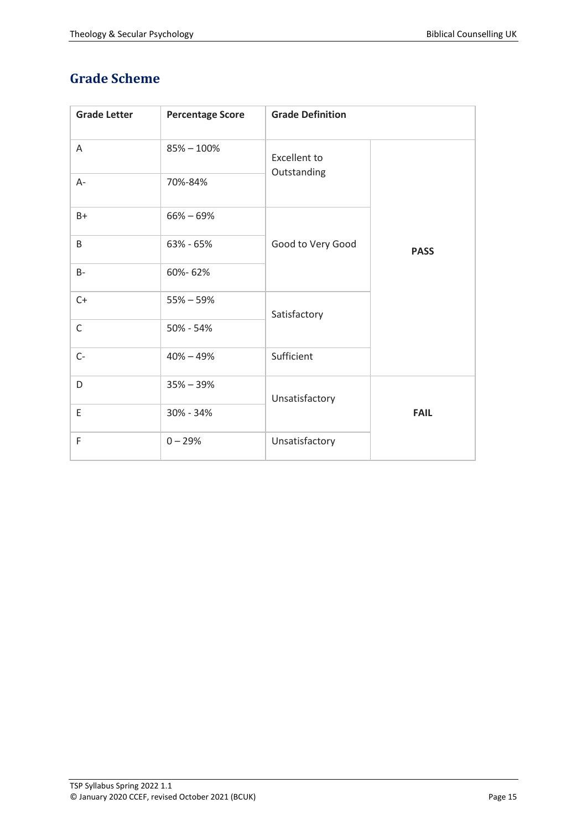### <span id="page-14-0"></span>**Grade Scheme**

<span id="page-14-1"></span>

| <b>Grade Letter</b> | <b>Percentage Score</b> | <b>Grade Definition</b> |             |
|---------------------|-------------------------|-------------------------|-------------|
| A                   | $85\% - 100\%$          | <b>Excellent to</b>     |             |
| $A -$               | 70%-84%                 | Outstanding             |             |
| $B+$                | $66\% - 69\%$           |                         |             |
| B                   | 63% - 65%               | Good to Very Good       | <b>PASS</b> |
| <b>B-</b>           | 60%-62%                 |                         |             |
| $C+$                | $55% - 59%$             | Satisfactory            |             |
| $\mathsf C$         | 50% - 54%               |                         |             |
| $C -$               | $40\% - 49\%$           | Sufficient              |             |
| D                   | $35\% - 39\%$           | Unsatisfactory          |             |
| E                   | 30% - 34%               |                         | <b>FAIL</b> |
| F                   | $0 - 29%$               | Unsatisfactory          |             |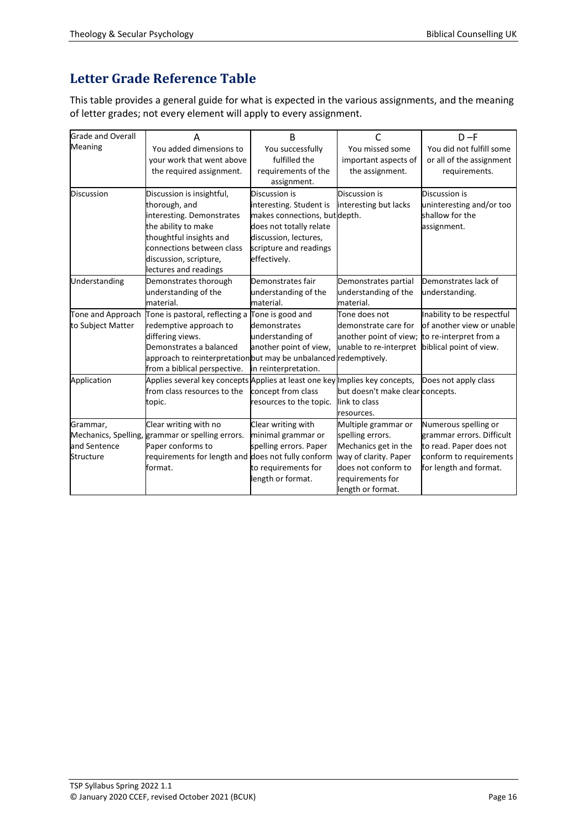### **Letter Grade Reference Table**

This table provides a general guide for what is expected in the various assignments, and the meaning of letter grades; not every element will apply to every assignment.

| <b>Grade and Overall</b> | А                                                                           | В                             | C                                | $D - F$                    |
|--------------------------|-----------------------------------------------------------------------------|-------------------------------|----------------------------------|----------------------------|
| <b>Meaning</b>           | You added dimensions to                                                     | You successfully              | You missed some                  | You did not fulfill some   |
|                          | your work that went above                                                   | fulfilled the                 | important aspects of             | or all of the assignment   |
|                          | the required assignment.                                                    | requirements of the           | the assignment.                  | requirements.              |
|                          |                                                                             | assignment.                   |                                  |                            |
| <b>Discussion</b>        | Discussion is insightful,                                                   | Discussion is                 | Discussion is                    | Discussion is              |
|                          | thorough, and                                                               | interesting. Student is       | interesting but lacks            | uninteresting and/or too   |
|                          | interesting. Demonstrates                                                   | makes connections, but depth. |                                  | shallow for the            |
|                          | the ability to make                                                         | does not totally relate       |                                  | assignment.                |
|                          | thoughtful insights and                                                     | discussion, lectures,         |                                  |                            |
|                          | connections between class                                                   | scripture and readings        |                                  |                            |
|                          | discussion, scripture,                                                      | effectively.                  |                                  |                            |
|                          | lectures and readings                                                       |                               |                                  |                            |
| Understanding            | Demonstrates thorough                                                       | Demonstrates fair             | Demonstrates partial             | Demonstrates lack of       |
|                          | understanding of the                                                        | understanding of the          | understanding of the             | understanding.             |
|                          | material.                                                                   | material.                     | material.                        |                            |
| Tone and Approach        | Tone is pastoral, reflecting a                                              | Tone is good and              | Tone does not                    | Inability to be respectful |
| to Subject Matter        | redemptive approach to                                                      | demonstrates                  | demonstrate care for             | of another view or unable  |
|                          | differing views.                                                            | understanding of              | another point of view;           | to re-interpret from a     |
|                          | Demonstrates a balanced                                                     | another point of view,        | unable to re-interpret           | biblical point of view.    |
|                          | approach to reinterpretation but may be unbalanced redemptively.            |                               |                                  |                            |
|                          | from a biblical perspective.                                                | in reinterpretation.          |                                  |                            |
| Application              | Applies several key concepts Applies at least one key Implies key concepts, |                               |                                  | Does not apply class       |
|                          | from class resources to the                                                 | concept from class            | but doesn't make clear concepts. |                            |
|                          | topic.                                                                      | resources to the topic.       | link to class                    |                            |
|                          |                                                                             |                               | resources.                       |                            |
| Grammar,                 | Clear writing with no                                                       | Clear writing with            | Multiple grammar or              | Numerous spelling or       |
|                          | Mechanics, Spelling, grammar or spelling errors.                            | minimal grammar or            | spelling errors.                 | grammar errors. Difficult  |
| and Sentence             | Paper conforms to                                                           | spelling errors. Paper        | Mechanics get in the             | to read. Paper does not    |
| Structure                | requirements for length and does not fully conform                          |                               | way of clarity. Paper            | conform to requirements    |
|                          | format.                                                                     | to requirements for           | does not conform to              | for length and format.     |
|                          |                                                                             | length or format.             | requirements for                 |                            |
|                          |                                                                             |                               | length or format.                |                            |